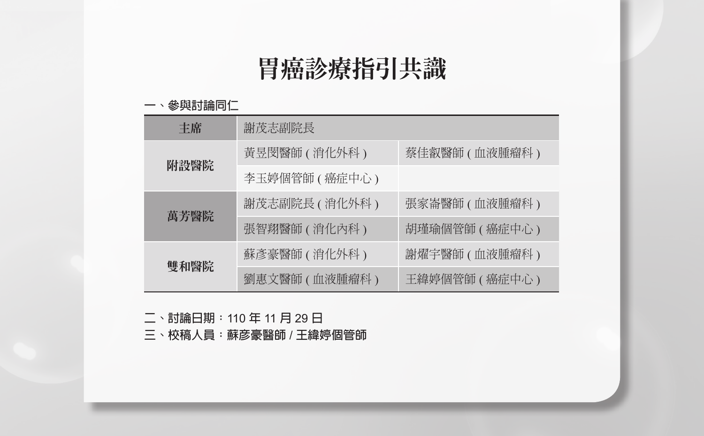# 胃癌診療指引共識

#### **一、參與討論同仁**

| 主席   | 謝茂志副院長          |                 |
|------|-----------------|-----------------|
| 附設醫院 | 黃昱閔醫師 ( 消化外科 )  | 蔡佳叡醫師 ( 血液腫瘤科 ) |
|      | 李玉婷個管師 (癌症中心)   |                 |
|      | 謝茂志副院長(消化外科)    | 張家崙醫師(血液腫瘤科)    |
| 萬芳醫院 | 張智翔醫師 (消化內科)    | 胡瑾瑜個管師 (癌症中心)   |
| 雙和醫院 | 蘇彥豪醫師 ( 消化外科 )  | 謝燿宇醫師 ( 血液腫瘤科 ) |
|      | 劉惠文醫師 ( 血液腫瘤科 ) | 王緯婷個管師 ( 癌症中心 ) |

**二、討論日期:**110 **年** 11 **月** 29 **日**

**三、校稿人員:蘇彥豪醫師** / **王緯婷個管師**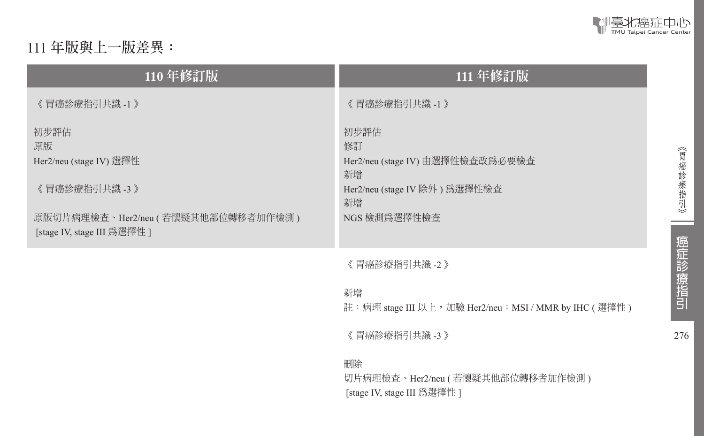

276

《胃癌診療指引》

ـ

癌症診療指引

# 111 **年版與上一版差異:**

| 110年修訂版                                                                                                                     | 111 年修訂版                                                                                                                                                                  |
|-----------------------------------------------------------------------------------------------------------------------------|---------------------------------------------------------------------------------------------------------------------------------------------------------------------------|
| 《胃癌診療指引共識 -1 》                                                                                                              | 《 胃癌診療指引共識 -1 》                                                                                                                                                           |
| 初步評估<br>原版<br>Her2/neu (stage IV) 選擇性<br>《胃癌診療指引共識 -3 》<br>原版切片病理檢查、Her2/neu (若懷疑其他部位轉移者加作檢測)<br>[stage IV, stage III 為選擇性] | 初步評估<br>修訂<br>Her2/neu (stage IV) 由選擇性檢查改爲必要檢查<br>新增<br>Her2/neu (stage IV 除外)為選擇性檢查<br>新增<br>NGS 檢測為選擇性檢查                                                                |
|                                                                                                                             | 《 胃癌診療指引共識 -2 》<br>新增<br>註:病理 stage III 以上,加驗 Her2/neu; MSI / MMR by IHC (選擇性)<br>《胃癌診療指引共識 -3 》<br>刪除<br>切片病理檢查、Her2/neu (若懷疑其他部位轉移者加作檢測)<br>[stage IV, stage III 爲選擇性 ] |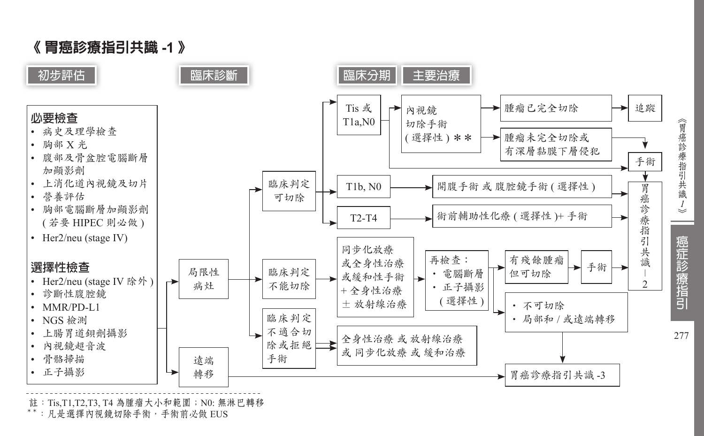

註: Tis,T1,T2,T3, T4 為腫瘤大小和範圍; N0: 無淋巴轉移<br>\*\*: 凡是選擇內視鏡切除手術, 手術前必做 EUS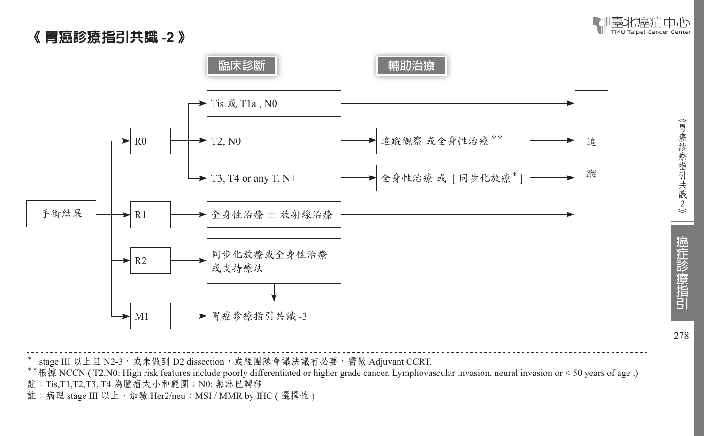|毫北癌症中心 TMU Taipei Cancer Cente

# 《 胃癌診療指引共識 **-2** 》



- 
- \* stage III 以上且 N2-3,或未做到 D2 dissection,或經團隊會議決議有必要,需做 Adjuvant CCRT.<br>\*\*根據 NCCN ( T2.N0: High risk features include poorly differentiated or higher grade cancer. Lymphovascular invasion. neural invasion or < 50 years of a
- 註: Tis,T1,T2,T3, T4 為腫瘤大小和範圍; N0: 無淋巴轉移
- 註:病理 stage III 以上, 加驗 Her2/neu; MSI / MMR by IHC ( 選擇性 )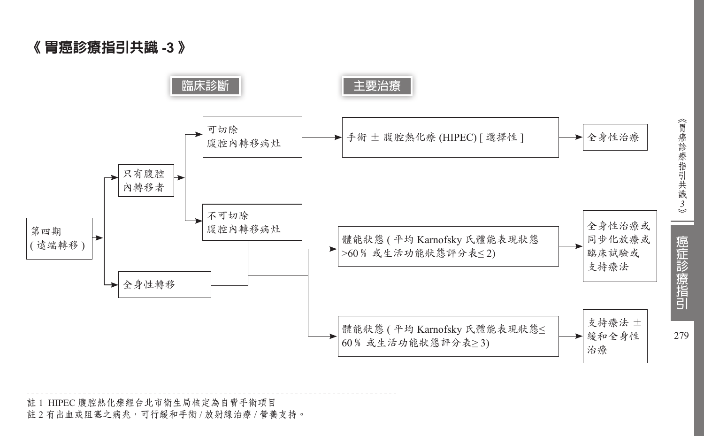《 胃癌診療指引共識 **-3** 》



註 1 HIPEC 腹腔熱化療經台北市衛生局核定為自費手術項目 註 2 有出血或阻塞之病兆,可行緩和手術 / 放射線治療 / 營養支持。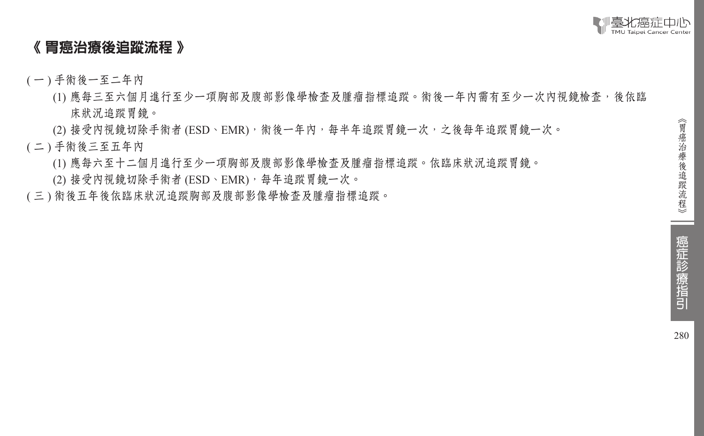

# 《 胃癌治療後追蹤流程 》

- ( 一 ) 手術後一至二年內
	- (1) 應每三至六個月進行至少一項胸部及腹部影像學檢查及腫瘤指標追蹤。術後一年內需有至少一次內視鏡檢查,後依臨 床狀況追蹤胃鏡。
	- (2) 接受內視鏡切除手術者 (ESD、EMR), 術後一年內, 每半年追蹤胃鏡一次, 之後每年追蹤胃鏡一次。
- ( 二 ) 手術後三至五年內
	- (1) 應每六至十二個月進行至少一項胸部及腹部影像學檢查及腫瘤指標追蹤。依臨床狀況追蹤胃鏡。
	- (2) 接受內視鏡切除手術者 (ESD、EMR),每年追蹤胃鏡一次。
- ( 三 ) 術後五年後依臨床狀況追蹤胸部及腹部影像學檢查及腫瘤指標追蹤。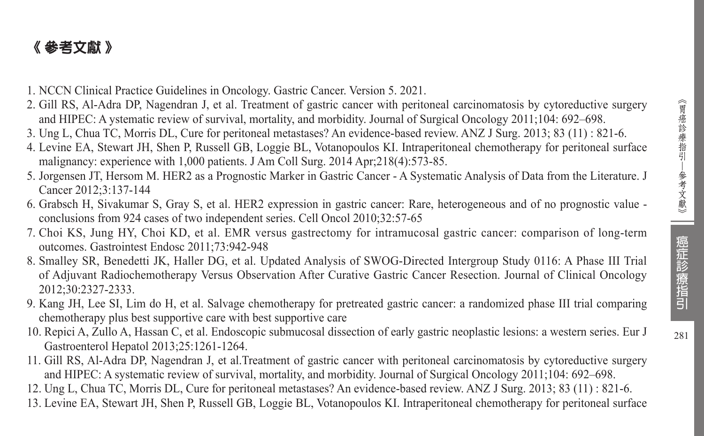# 《 參考文獻 》

- 1. NCCN Clinical Practice Guidelines in Oncology. Gastric Cancer. Version 5. 2021.
- 2. Gill RS, Al-Adra DP, Nagendran J, et al. Treatment of gastric cancer with peritoneal carcinomatosis by cytoreductive surgery and HIPEC: A ystematic review of survival, mortality, and morbidity. Journal of Surgical Oncology 2011;104: 692–698.
- 3. Ung L, Chua TC, Morris DL, Cure for peritoneal metastases? An evidence-based review. ANZ J Surg. 2013; 83 (11) : 821-6.
- 4. Levine EA, Stewart JH, Shen P, Russell GB, Loggie BL, Votanopoulos KI. Intraperitoneal chemotherapy for peritoneal surface malignancy: experience with 1,000 patients. J Am Coll Surg. 2014 Apr;218(4):573-85.
- 5. Jorgensen JT, Hersom M. HER2 as a Prognostic Marker in Gastric Cancer A Systematic Analysis of Data from the Literature. J Cancer 2012;3:137-144
- 6. Grabsch H, Sivakumar S, Gray S, et al. HER2 expression in gastric cancer: Rare, heterogeneous and of no prognostic value conclusions from 924 cases of two independent series. Cell Oncol 2010;32:57-65
- 7. Choi KS, Jung HY, Choi KD, et al. EMR versus gastrectomy for intramucosal gastric cancer: comparison of long-term outcomes. Gastrointest Endosc 2011;73:942-948
- 8. Smalley SR, Benedetti JK, Haller DG, et al. Updated Analysis of SWOG-Directed Intergroup Study 0116: A Phase III Trial of Adjuvant Radiochemotherapy Versus Observation After Curative Gastric Cancer Resection. Journal of Clinical Oncology 2012;30:2327-2333.
- 9. Kang JH, Lee SI, Lim do H, et al. Salvage chemotherapy for pretreated gastric cancer: a randomized phase III trial comparing chemotherapy plus best supportive care with best supportive care
- 10. Repici A, Zullo A, Hassan C, et al. Endoscopic submucosal dissection of early gastric neoplastic lesions: a western series. Eur J Gastroenterol Hepatol 2013;25:1261-1264.
- 11. Gill RS, Al-Adra DP, Nagendran J, et al.Treatment of gastric cancer with peritoneal carcinomatosis by cytoreductive surgery and HIPEC: A systematic review of survival, mortality, and morbidity. Journal of Surgical Oncology 2011;104: 692–698.
- 12. Ung L, Chua TC, Morris DL, Cure for peritoneal metastases? An evidence-based review. ANZ J Surg. 2013; 83 (11) : 821-6.
- 13. Levine EA, Stewart JH, Shen P, Russell GB, Loggie BL, Votanopoulos KI. Intraperitoneal chemotherapy for peritoneal surface

癌症診療指引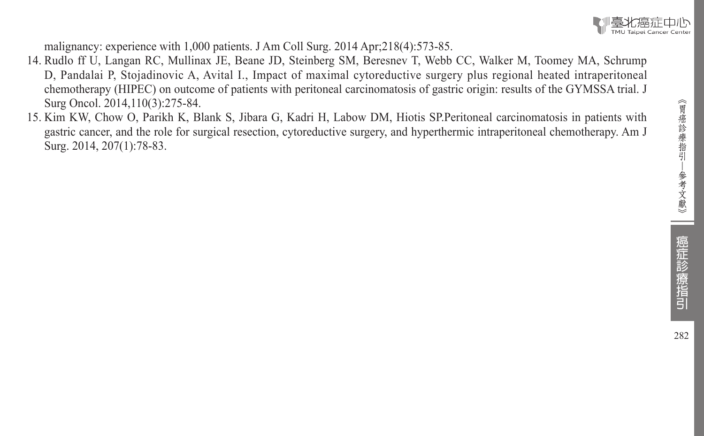

malignancy: experience with 1,000 patients. J Am Coll Surg. 2014 Apr;218(4):573-85.

- 14. Rudlo ff U, Langan RC, Mullinax JE, Beane JD, Steinberg SM, Beresnev T, Webb CC, Walker M, Toomey MA, Schrump D, Pandalai P, Stojadinovic A, Avital I., Impact of maximal cytoreductive surgery plus regional heated intraperitoneal chemotherapy (HIPEC) on outcome of patients with peritoneal carcinomatosis of gastric origin: results of the GYMSSA trial. J Surg Oncol. 2014,110(3):275-84.
- 15. Kim KW, Chow O, Parikh K, Blank S, Jibara G, Kadri H, Labow DM, Hiotis SP.Peritoneal carcinomatosis in patients with gastric cancer, and the role for surgical resection, cytoreductive surgery, and hyperthermic intraperitoneal chemotherapy. Am J Surg. 2014, 207(1):78-83.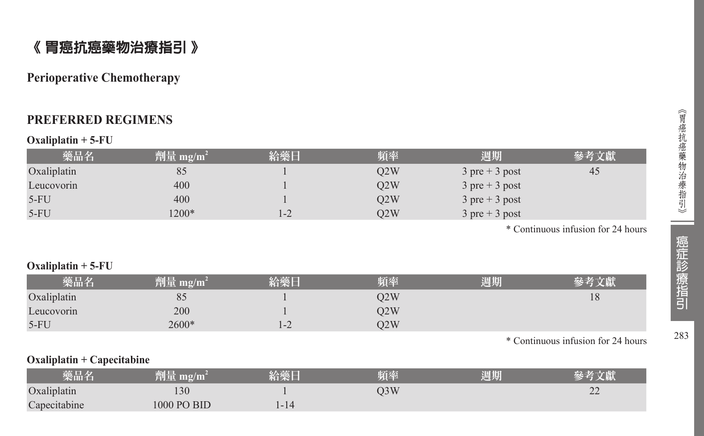# 《 胃癌抗癌藥物治療指引 》

# **Perioperative Chemotherapy**

# **PREFERRED REGIMENS**

#### **Oxaliplatin + 5-FU**

| 藥品名         | 劑量 mg/m <sup>2</sup> | 給藥日  | 頻率  | 週期                               | 參考文獻 |
|-------------|----------------------|------|-----|----------------------------------|------|
| Oxaliplatin | 85                   |      | O2W | $3$ pre + 3 post                 | 45   |
| Leucovorin  | 400                  |      | O2W | $3 \text{ pre} + 3 \text{ post}$ |      |
| $5-FU$      | 400                  |      | O2W | $3 \text{ pre} + 3 \text{ post}$ |      |
| $5-FU$      | $1200*$              | $-2$ | O2W | $3 \text{ pre} + 3 \text{ post}$ |      |

\* Continuous infusion for 24 hours

#### **Oxaliplatin + 5-FU**

| 樂品名         | mg/m<br>TIE |                          | 百本  | 周期 |    |
|-------------|-------------|--------------------------|-----|----|----|
| Oxaliplatin | 85          |                          | O2W |    | 18 |
| Leucovorin  | 200         |                          | O2W |    |    |
| $5-FU$      | 2600*       | $\overline{\phantom{0}}$ | O2W |    |    |

\* Continuous infusion for 24 hours

#### **Oxaliplatin + Capecitabine**

| 彩品名          | 2/III<br>mo<br>eu.                               | ---<br><b>STANDING</b> | 頻率  | $\overline{1}$<br>週期 |    |
|--------------|--------------------------------------------------|------------------------|-----|----------------------|----|
| Oxaliplatin  | 130                                              |                        | ر ر |                      | ∠∠ |
| Capecitabine | <b>BID</b><br>000 <sup>2</sup><br>D <sub>O</sub> | $-14$                  |     |                      |    |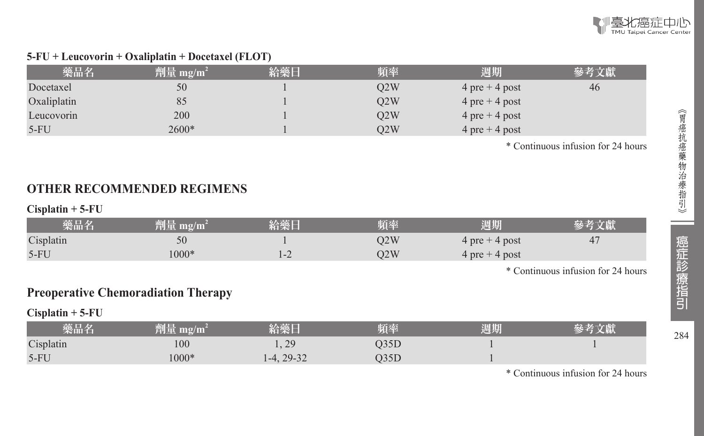

#### **5-FU + Leucovorin + Oxaliplatin + Docetaxel (FLOT)**

| 藥品名         | 劑量 mg/m <sup>2</sup> | 給藥日 | 頻率  | 週期               | 參考文獻 |
|-------------|----------------------|-----|-----|------------------|------|
| Docetaxel   | 50                   |     | O2W | $4$ pre + 4 post | 46   |
| Oxaliplatin | 85                   |     | O2W | $4$ pre + 4 post |      |
| Leucovorin  | 200                  |     | O2W | $4$ pre + 4 post |      |
| $5-FU$      | $2600*$              |     | O2W | $4$ pre + 4 post |      |

\* Continuous infusion for 24 hours

# **OTHER RECOMMENDED REGIMENS**

#### **Cisplatin + 5-FU**

| 藥品名       | 劑量 mg/m $^2$ | 給藥日 | 頻率  | 週期               |  |
|-----------|--------------|-----|-----|------------------|--|
| Cisplatin | 50           |     | )2W | $4$ pre + 4 post |  |
| $5-FU$    | $000*$       |     | 22W | $4$ pre + 4 post |  |

\* Continuous infusion for 24 hours

# **Preoperative Chemoradiation Therapy**

#### **Cisplatin + 5-FU**

| 樂品名       | 判面<br>$\mathbf{m}$ g/m | <b>SALE AND ARRANGEMENT</b>  | 頻率 | 週期 |  |
|-----------|------------------------|------------------------------|----|----|--|
| Cisplatin | 100                    | $\gamma$ <sup>O</sup><br>1.4 |    |    |  |
| $5-FU$    | $.000*$                | $29-32$<br>$-4.$             |    |    |  |

\* Continuous infusion for 24 hours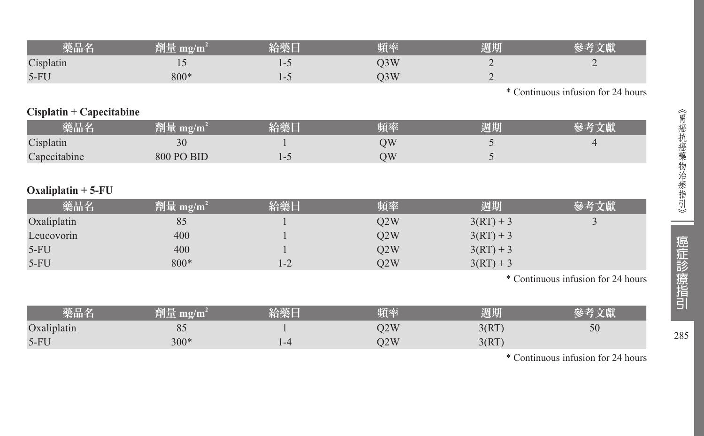| 柴品名       | 劑量 mg/m´ | 給藥    | 頃率 | 周期 |                                  |
|-----------|----------|-------|----|----|----------------------------------|
| Cisplatin |          | 1 – J |    | ∸  |                                  |
| $5-FU$    | $800*$   | 1-J   |    | ∸  |                                  |
|           |          |       |    |    | Continuous infusion for 24 hours |

### **Cisplatin + Capecitabine**

| 藥品名          | 劗量 mg/m <sup>-</sup> | 給藥日 | 頻率 | 週期 |  |
|--------------|----------------------|-----|----|----|--|
| Cisplatin    | n c<br>$_{\rm 50}$   |     | УC |    |  |
| Capecitabine | <b>800 PO BID</b>    |     | ЭW |    |  |

# **Oxaliplatin + 5-FU**

| 藥品名         | 劑量 mg/m $^2$ | 給藥日 | 頻率  | 週期          | 參考文獻 |
|-------------|--------------|-----|-----|-------------|------|
| Oxaliplatin | 85           |     | O2W | $3(RT) + 3$ |      |
| Leucovorin  | 400          |     | O2W | $3(RT) + 3$ |      |
| $5-FU$      | 400          |     | O2W | $3(RT) + 3$ |      |
| $5-FU$      | 800*         | 1-2 | Q2W | $3(RT) + 3$ |      |

\* Continuous infusion for 24 hours

| 樂品名         | $\mathbf{m}$ g/mi<br>削里 | 給樂 | 頃率  | 週期    |    |
|-------------|-------------------------|----|-----|-------|----|
| Oxaliplatin | 80                      |    | 22W | J(M)  | 50 |
| $5-FU$      | $300*$                  |    | 12W | 3(RT) |    |

\* Continuous infusion for 24 hours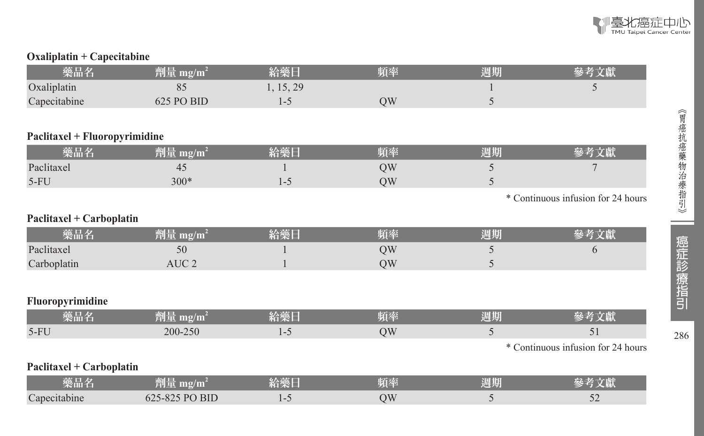

# **Oxaliplatin + Capecitabine**

| 藥品名                           | 劑量 mg/m <sup>2</sup> | 給藥日       | 頻率 | 週期 | 參考文獻                               |
|-------------------------------|----------------------|-----------|----|----|------------------------------------|
| Oxaliplatin                   | 85                   | 1, 15, 29 |    |    | 5                                  |
| Capecitabine                  | 625 PO BID           | $1 - 5$   | QW | 5  |                                    |
|                               |                      |           |    |    |                                    |
| Paclitaxel + Fluoropyrimidine |                      |           |    |    |                                    |
| 藥品名                           | 劑量 mg/m <sup>2</sup> | 給藥日       | 頻率 | 週期 | 參考文獻                               |
| Paclitaxel                    | 45                   |           | QW | 5  |                                    |
| $5-FU$                        | $300*$               | $1 - 5$   | QW | 5  |                                    |
|                               |                      |           |    |    | * Continuous infusion for 24 hours |
| Paclitaxel + Carboplatin      |                      |           |    |    |                                    |
| 藥品名                           | 劑量 mg/m <sup>2</sup> | 給藥日       | 頻率 | 週期 | 參考文獻                               |
| Paclitaxel                    | 50                   |           | QW | 5  | 6                                  |
| Carboplatin                   | AUC <sub>2</sub>     |           | QW | 5  |                                    |
|                               |                      |           |    |    |                                    |
| Fluoropyrimidine              |                      |           |    |    |                                    |
| 藥品名                           | 劑量 mg/m $^2$         | 給藥日       | 頻率 | 週期 | 參考文獻                               |
| $5-FU$                        | 200-250              | $1 - 5$   | QW | 5  | 51                                 |
|                               |                      |           |    |    | * Continuous infusion for 24 hours |
| Paclitaxel + Carboplatin      |                      |           |    |    |                                    |
| 藥品名                           | 劑量 mg/m $^2$         | 給藥日       | 頻率 | 週期 | 參考文獻                               |
| Capecitabine                  | 625-825 PO BID       | $1 - 5$   | QW | 5  | 52                                 |

286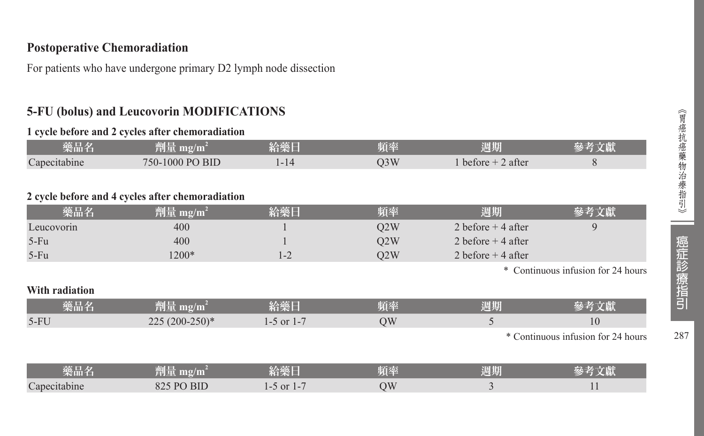# **Postoperative Chemoradiation**

For patients who have undergone primary D2 lymph node dissection

# **5-FU (bolus) and Leucovorin MODIFICATIONS**

#### **1 cycle before and 2 cycles after chemoradiation**

| 藥品名                    | ल्या<br>7111<br>≌″        | 給藥日 | 頻率  | . .<br>1772<br>na filib<br>四六月 |  |
|------------------------|---------------------------|-----|-----|--------------------------------|--|
| $\sim$<br>Capecitabine | 750-1000 PO<br><b>BID</b> |     | D3W | 2 after<br>before              |  |

#### **2 cycle before and 4 cycles after chemoradiation**

| 藥品名            | $ \hat{p}$ ] $\frac{1}{2}$ mg/m <sup>2</sup> | 給藥日            | 頻率        | 週期                   | 參考文獻                               |
|----------------|----------------------------------------------|----------------|-----------|----------------------|------------------------------------|
| Leucovorin     | 400                                          |                | Q2W       | 2 before $+$ 4 after | 9                                  |
| $5-Fu$         | 400                                          |                | Q2W       | 2 before $+$ 4 after |                                    |
| $5-Fu$         | 1200*                                        | $1 - 2$        | O2W       | 2 before $+$ 4 after |                                    |
|                |                                              |                |           |                      | * Continuous infusion for 24 hours |
| With radiation |                                              |                |           |                      |                                    |
| 藥品名            | 劑量 mg/m <sup>2</sup>                         | 給藥日            | 頻率        | 週期                   | 參考文獻                               |
| $5-FU$         | $225(200-250)*$                              | $1-5$ or $1-7$ | <b>OW</b> |                      | 10                                 |
|                |                                              |                |           |                      | * Continuous infusion for 24 hours |

| _____<br>樂品名           | 78 I II<br>₩U∎<br><u>mg/m.</u>  | <b>Colde and</b><br>经绝合                | 陌來<br>____ | <b>CARD STATE</b><br>週期 | <b>ALLEN AVE</b> |
|------------------------|---------------------------------|----------------------------------------|------------|-------------------------|------------------|
| $\sim$<br>Capecitabine | <b>BID</b><br>$\cdot$ DC<br>02J | <sub>or</sub><br>$-$<br>$\overline{ }$ | NС         |                         |                  |

287

i<br>Listopa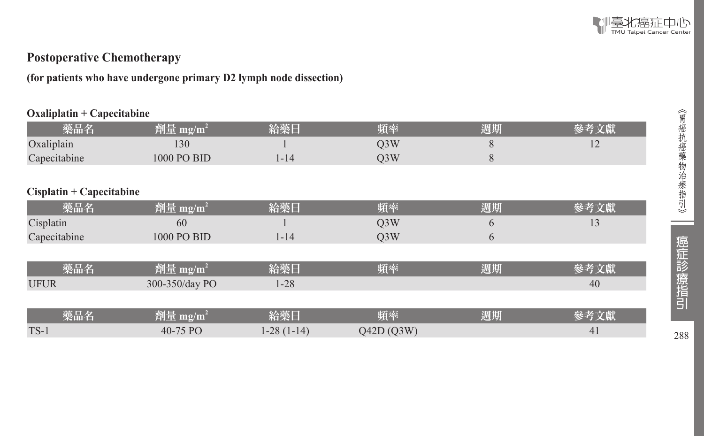

# **Postoperative Chemotherapy**

**(for patients who have undergone primary D2 lymph node dissection)**

#### **Oxaliplatin + Capecitabine**

| 藥品名                      | $\boxed{\tilde{\pmb{\mathbb{M}}}}$ $\mathbb{E}[\text{mg/m}^2]$ | 給藥日          | 頻率               | 週期 | 參考文獻 |
|--------------------------|----------------------------------------------------------------|--------------|------------------|----|------|
| Oxaliplain               | 130                                                            |              | Q <sub>3</sub> W | 8  | 12   |
| Capecitabine             | 1000 PO BID                                                    | $1 - 14$     | Q <sub>3</sub> W | 8  |      |
|                          |                                                                |              |                  |    |      |
| Cisplatin + Capecitabine |                                                                |              |                  |    |      |
| 藥品名                      | 劑量 mg/m <sup>2</sup>                                           | 給藥日          | 頻率               | 週期 | 參考文獻 |
| Cisplatin                | 60                                                             |              | Q <sub>3</sub> W | 6  | 13   |
| Capecitabine             | 1000 PO BID                                                    | $1 - 14$     | Q <sub>3</sub> W | 6  |      |
|                          |                                                                |              |                  |    |      |
| 藥品名                      | 劑量 mg/m <sup>2</sup>                                           | 給藥日          | 頻率               | 週期 | 參考文獻 |
| <b>UFUR</b>              | 300-350/day PO                                                 | $1 - 28$     |                  |    | 40   |
|                          |                                                                |              |                  |    |      |
| 藥品名                      | 劑量 mg/m <sup>2</sup>                                           | 給藥日          | 頻率               | 週期 | 參考文獻 |
| $TS-1$                   | 40-75 PO                                                       | $1-28(1-14)$ | O42D(O3W)        |    | 41   |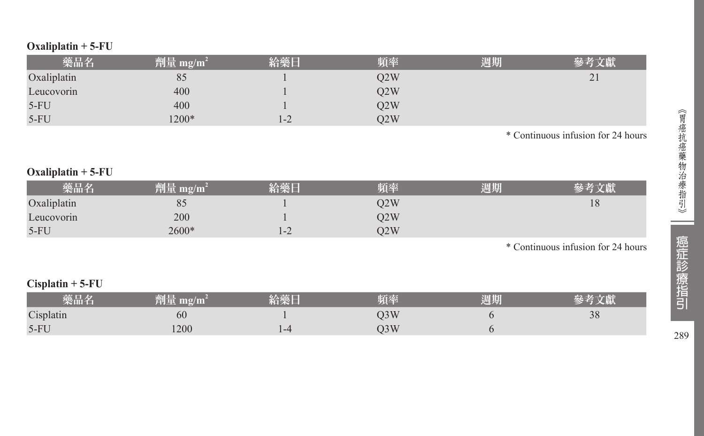| 藥品名         | 劑量 mg/m <sup>2</sup> | 給藥日 | 頻率  | 週期 |                                         |
|-------------|----------------------|-----|-----|----|-----------------------------------------|
| Oxaliplatin | 85                   |     | O2W |    | $\bigcap$<br>$\overline{\phantom{a}}$ . |
| Leucovorin  | 400                  |     | O2W |    |                                         |
| $5-FU$      | 400                  |     | Q2W |    |                                         |
| $5-FU$      | $1200*$              | 1-2 | O2W |    |                                         |

\* Continuous infusion for 24 hours

# **Oxaliplatin + 5-FU**

|             |       |      | 珀率  | 周期 |    |
|-------------|-------|------|-----|----|----|
| Oxaliplatin | ο.    |      | 02W |    | 18 |
| Leucovorin  | 200   |      | Q2W |    |    |
| $5-FU$      | 2600* | *−∠. | 22W |    |    |

\* Continuous infusion for 24 hours

### **Cisplatin + 5-FU**

| 樂品名       | mg/m | 給藥厂 |     | 周期 |    |
|-----------|------|-----|-----|----|----|
| Cisplatin | 60   |     | O3W |    | 28 |
| $5-FU$    | 1200 |     | O3W |    |    |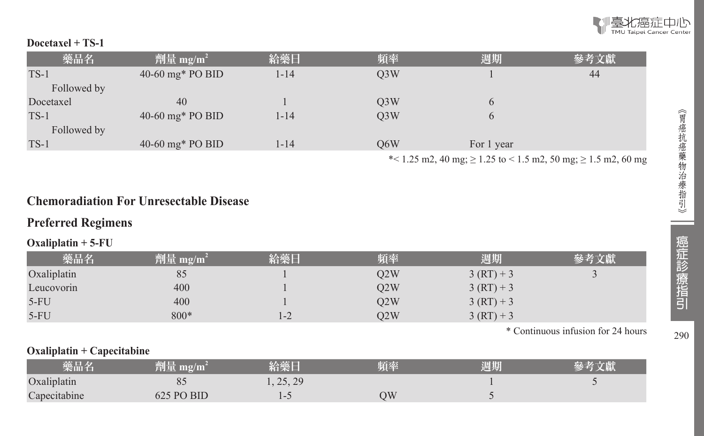#### **Docetaxel + TS-1**

| 藥品名         | 劑量 mg/m <sup>2</sup> | 給藥日  | 頻率               | 週期         | 參考文獻 |
|-------------|----------------------|------|------------------|------------|------|
| $TS-1$      | $40-60$ mg* PO BID   | 1-14 | O <sub>3</sub> W |            | 44   |
| Followed by |                      |      |                  |            |      |
| Docetaxel   | 40                   |      | Q <sub>3</sub> W | O          |      |
| $TS-1$      | $40-60$ mg* PO BID   | 1-14 | O <sub>3</sub> W | O          |      |
| Followed by |                      |      |                  |            |      |
| $TS-1$      | $40-60$ mg* PO BID   | 1-14 | O6W              | For 1 year |      |
|             |                      |      |                  |            |      |

\* $< 1.25 \text{ m2}$ , 40 mg;  $\ge 1.25 \text{ to } < 1.5 \text{ m2}$ , 50 mg;  $\ge 1.5 \text{ m2}$ , 60 mg

# **Chemoradiation For Unresectable Disease**

# **Preferred Regimens**

### **Oxaliplatin + 5-FU**

| 藥品名         | 劑量 mg/m <sup>2</sup> | 給藥日 | 頻率  | 週期           | 參考文獻 |
|-------------|----------------------|-----|-----|--------------|------|
| Oxaliplatin | 85                   |     | O2W | $3 (RT) + 3$ |      |
| Leucovorin  | 400                  |     | O2W | $3 (RT) + 3$ |      |
| $5-FU$      | 400                  |     | O2W | $3 (RT) + 3$ |      |
| $5-FU$      | 800*                 | l-2 | O2W | $3 (RT) + 3$ |      |

\* Continuous infusion for 24 hours

#### **Oxaliplatin + Capecitabine**

| 樂品名          | 劑量 mg/m    | 给藥厂                                      | 頻率 | 週期 |  |
|--------------|------------|------------------------------------------|----|----|--|
| Oxaliplatin  |            | 25.29<br>$\rightarrow$ , $\sim$ , $\sim$ |    |    |  |
| Capecitabine | 625 PO BID |                                          | ЭW |    |  |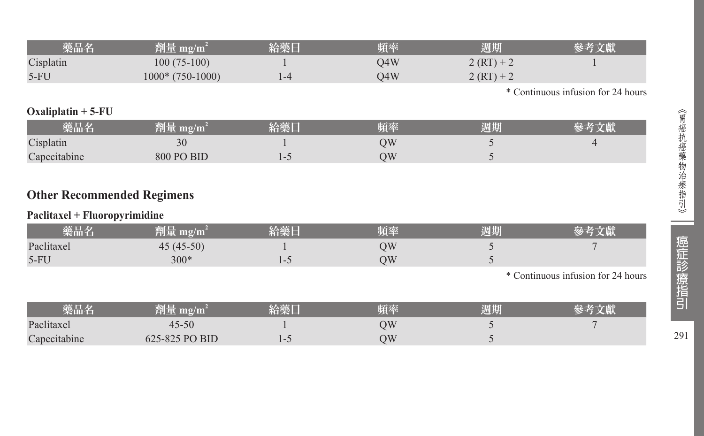| 藥品名       | 劑量 mg/m <sup>4</sup> | 給藥日 | 頻率  | 週期           | 參考文獻 |
|-----------|----------------------|-----|-----|--------------|------|
| Cisplatin | $100(75-100)$        |     | 04W | $2 (RT) + 2$ |      |
| $5-FU$    | $1000*$ (750-1000)   |     | 04W | $2 (RT) + 2$ |      |

\* Continuous infusion for 24 hours

# **Oxaliplatin + 5-FU**

| 藥品名          | 細口<br>劑軍 mg/mi      | 給藥日 | 陌丞 | <b>Test Title</b><br>週期 |  |
|--------------|---------------------|-----|----|-------------------------|--|
| Cisplatin    | 20<br>$\mathcal{F}$ |     | ЭW |                         |  |
| Capecitabine | 800 PO BID          |     | NС |                         |  |

# **Other Recommended Regimens**

### **Paclitaxel + Fluoropyrimidine**

| 樂品名        | 判量<br>mg/m  | 給藥日                      | 頻率 | 週期 | 考文獻 |
|------------|-------------|--------------------------|----|----|-----|
| Paclitaxel | $45(45-50)$ |                          | ЭW |    |     |
| $5-FU$     | 300*        | $\overline{\phantom{0}}$ | ЭW |    |     |

\* Continuous infusion for 24 hours

| 藥品名          | 剛重<br>$\mathbf{m}$ g/m | 給藥日 | 頻率 | 週期 |  |
|--------------|------------------------|-----|----|----|--|
| Paclitaxel   | $45 - 50$              |     | ЭW |    |  |
| Capecitabine | 625-825 PO BID         | . . | ЭW |    |  |

291

 $\sim$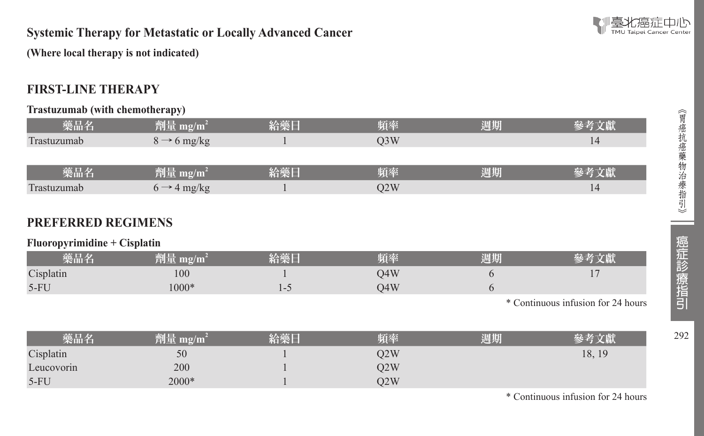

### **Systemic Therapy for Metastatic or Locally Advanced Cancer**

**(Where local therapy is not indicated)** 

# **FIRST-LINE THERAPY**

#### **Trastuzumab (with chemotherapy)**

| 藥品名         | 劑量 mg/m <sup>2</sup>    | 給藥日 | 頻率               | 週期 | 參考文獻 |
|-------------|-------------------------|-----|------------------|----|------|
| Trastuzumab | $8 \rightarrow 6$ mg/kg |     | O <sub>3</sub> W |    | 14   |
|             |                         |     |                  |    |      |
| 藥品名         | 劑量 mg/m <sup>2</sup>    | 給藥日 | 頻率               | 週期 | 參考文獻 |
| Trastuzumab | $6 \rightarrow 4$ mg/kg |     | O2W              |    | 14   |

# **PREFERRED REGIMENS**

#### **Fluoropyrimidine + Cisplatin**

| 樂品名       | 劑量 mg/m $^2$ | 給藥日 | 頻率  | 週期 |  |
|-----------|--------------|-----|-----|----|--|
| Cisplatin | 100          |     | )4W |    |  |
| $5-FU$    | $1000*$      |     | O4W |    |  |

\* Continuous infusion for 24 hours

| 藥品名        | [1] 量<br>mg/m | 給藥日 | 頻率  | 週期 |        |
|------------|---------------|-----|-----|----|--------|
| Cisplatin  | 50            |     | O2W |    | 18, 19 |
| Leucovorin | 200           |     | O2W |    |        |
| $5-FU$     | $2000*$       |     | O2W |    |        |

\* Continuous infusion for 24 hours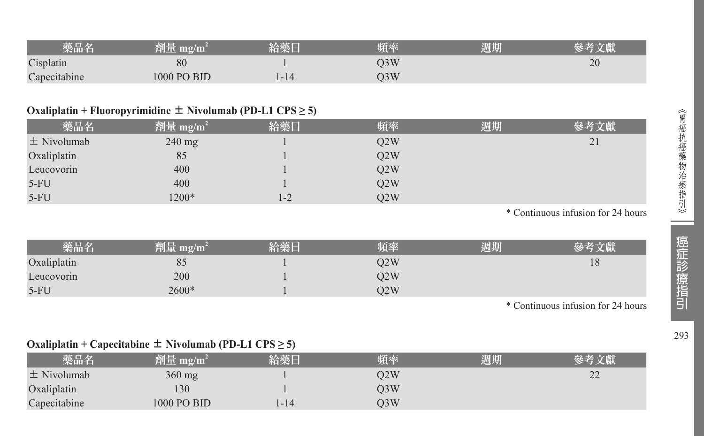| 藥品名          | 劑量 mg/m     | 給藥日  | 頻率  | 週期 |    |
|--------------|-------------|------|-----|----|----|
| Cisplatin    | 80          |      | )3W |    | 20 |
| Capecitabine | 1000 PO BID | 1-14 | J3W |    |    |

# **Oxaliplatin + Fluoropyrimidine**  $\pm$  **Nivolumab (PD-L1 CPS**  $\geq$  **5)**

| 藥品名             | $^2$ 劑量 mg/m <sup>2</sup> | 給藥日     | 頻率  | 週期 | 參考文獻 |
|-----------------|---------------------------|---------|-----|----|------|
| $\pm$ Nivolumab | $240$ mg                  |         | Q2W |    | 21   |
| Oxaliplatin     | 85                        |         | Q2W |    |      |
| Leucovorin      | 400                       |         | O2W |    |      |
| $5-FU$          | 400                       |         | Q2W |    |      |
| $5-FU$          | 1200*                     | $1 - 2$ | O2W |    |      |

\* Continuous infusion for 24 hours

| 藥品名         | 劑量 mg/m <sup>?</sup> | 給藥日 | 頻率  | 週期 |    |
|-------------|----------------------|-----|-----|----|----|
| Oxaliplatin | 85                   |     | O2W |    | 18 |
| Leucovorin  | 200                  |     | O2W |    |    |
| $5-FU$      | 2600*                |     | O2W |    |    |

\* Continuous infusion for 24 hours

# **Oxaliplatin + Capecitabine** ± **Nivolumab (PD-L1 CPS ≥ 5)**

| 藥品名             | 劑量 mg/m <sup>2</sup> | 給藥日 | 頻率  | 週期 | 參考文獻            |
|-----------------|----------------------|-----|-----|----|-----------------|
| $\pm$ Nivolumab | $360 \text{ mg}$     |     | O2W |    | $\gamma$<br>ے ت |
| Oxaliplatin     | 130                  |     | O3W |    |                 |
| Capecitabine    | 1000 PO BID          | -14 | O3W |    |                 |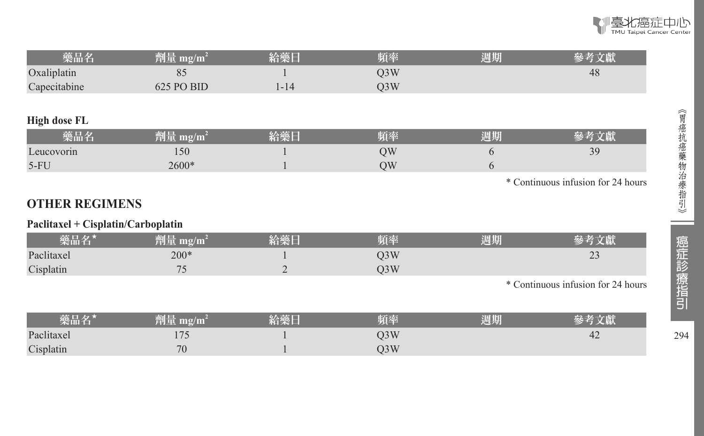| 藥品名                                | 劑量 mg/m <sup>2</sup> | 給藥日            | 頻率               | 週期 | 參考文獻                               |
|------------------------------------|----------------------|----------------|------------------|----|------------------------------------|
| Oxaliplatin                        | 85                   |                | Q <sub>3</sub> W |    | 48                                 |
| Capecitabine                       | 625 PO BID           | $1 - 14$       | Q3W              |    |                                    |
|                                    |                      |                |                  |    |                                    |
| <b>High dose FL</b>                |                      |                |                  |    |                                    |
| 藥品名                                | 劑量 mg/m <sup>2</sup> | 給藥日            | 頻率               | 週期 | 參考文獻                               |
| Leucovorin                         | 150                  |                | QW               | 6  | 39                                 |
| $5-FU$                             | 2600*                |                | QW               | 6  |                                    |
|                                    |                      |                |                  |    | * Continuous infusion for 24 hours |
|                                    |                      |                |                  |    |                                    |
| <b>OTHER REGIMENS</b>              |                      |                |                  |    |                                    |
| Paclitaxel + Cisplatin/Carboplatin |                      |                |                  |    |                                    |
| 藥品名*                               | 劑量 mg/m <sup>2</sup> | 給藥日            | 頻率               | 週期 | 參考文獻                               |
| Paclitaxel                         | $200*$               |                | Q <sub>3</sub> W |    | 23                                 |
| Cisplatin                          | 75                   | $\overline{2}$ | Q3W              |    |                                    |
|                                    |                      |                |                  |    | * Continuous infusion for 24 hours |
|                                    |                      |                |                  |    |                                    |
| 藥品名*                               | 劑量 mg/m <sup>2</sup> | 給藥日            | 頻率               | 週期 | 參考文獻                               |
| Paclitaxel                         | 175                  |                | Q3W              |    | 42                                 |
| Cisplatin                          | 70                   |                | Q3W              |    |                                    |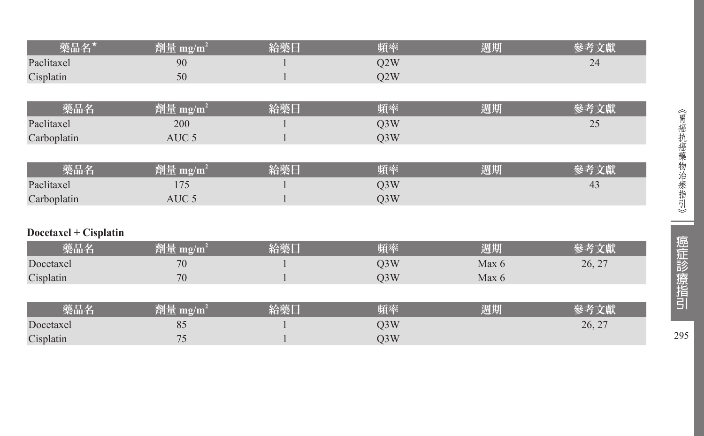| 藥品名 <mark>*</mark>    | 劑量 mg/m <sup>2</sup> | 給藥日 | 頻率               | 週期    | 參考文獻   |
|-----------------------|----------------------|-----|------------------|-------|--------|
| Paclitaxel            | 90                   |     | Q2W              |       | 24     |
| Cisplatin             | 50                   |     | Q <sub>2</sub> W |       |        |
|                       |                      |     |                  |       |        |
| 藥品名                   | 劑量 mg/m <sup>2</sup> | 給藥日 | 頻率               | 週期    | 參考文獻   |
| Paclitaxel            | 200                  |     | Q3W              |       | 25     |
| Carboplatin           | AUC <sub>5</sub>     |     | Q3W              |       |        |
|                       |                      |     |                  |       |        |
| 藥品名                   | 劑量 mg/m <sup>2</sup> | 給藥日 | 頻率               | 週期    | 參考文獻   |
| Paclitaxel            | 175                  |     | Q3W              |       | 43     |
| Carboplatin           | AUC <sub>5</sub>     |     | Q3W              |       |        |
|                       |                      |     |                  |       |        |
| Docetaxel + Cisplatin |                      |     |                  |       |        |
| 藥品名                   | 劑量 mg/m <sup>2</sup> | 給藥日 | 頻率               | 週期    | 參考文獻   |
| Docetaxel             | 70                   |     | Q3W              | Max 6 | 26, 27 |
| Cisplatin             | 70                   |     | Q <sub>3</sub> W | Max 6 |        |
|                       |                      |     |                  |       |        |
| 藥品名                   | 劑量 mg/m <sup>2</sup> | 給藥日 | 頻率               | 週期    | 參考文獻   |
| Docetaxel             | 85                   |     | Q3W              |       | 26, 27 |
| Cisplatin             | 75                   |     | Q3W              |       |        |

295

--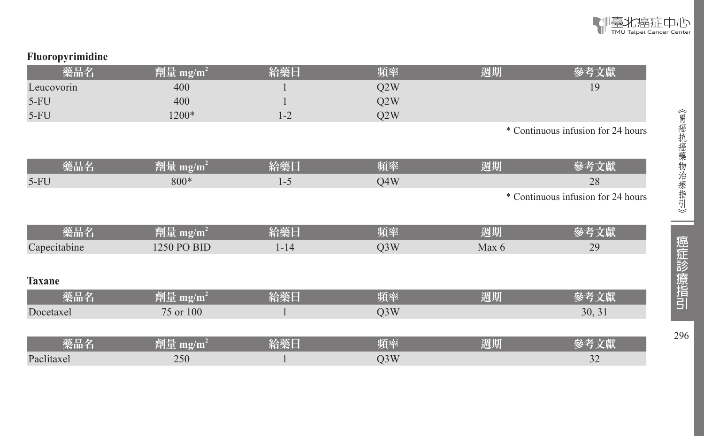

| 藥品名           | 劑量 mg/m <sup>2</sup> | 給藥日      | 頻率               | 週期    | 參考文獻                               |
|---------------|----------------------|----------|------------------|-------|------------------------------------|
| Leucovorin    | 400                  |          | Q2W              |       | 19                                 |
| $5-FU$        | 400                  |          | Q2W              |       |                                    |
| $5-FU$        | 1200*                | $1 - 2$  | Q2W              |       |                                    |
|               |                      |          |                  |       | * Continuous infusion for 24 hours |
|               |                      |          |                  |       |                                    |
| 藥品名           | 劑量 mg/m <sup>2</sup> | 給藥日      | 頻率               | 週期    | 參考文獻                               |
| $5-FU$        | 800*                 | $1 - 5$  | Q4W              |       | 28                                 |
|               |                      |          |                  |       | * Continuous infusion for 24 hours |
|               |                      |          |                  |       |                                    |
| 藥品名           | 劑量 mg/m <sup>2</sup> | 給藥日      | 頻率               | 週期    | 參考文獻                               |
| Capecitabine  | 1250 PO BID          | $1 - 14$ | Q3W              | Max 6 | 29                                 |
|               |                      |          |                  |       |                                    |
| <b>Taxane</b> |                      |          |                  |       |                                    |
| 藥品名           | 劑量 mg/m <sup>2</sup> | 給藥日      | 頻率               | 週期    | 參考文獻                               |
| Docetaxel     | 75 or 100            |          | Q <sub>3</sub> W |       | 30, 31                             |
|               |                      |          |                  |       |                                    |
| 藥品名           | 劑量 mg/m <sup>2</sup> | 給藥日      | 頻率               | 週期    | 參考文獻                               |
| Paclitaxel    | 250                  |          | Q3W              |       | 32                                 |

**Fluoropyrimidine**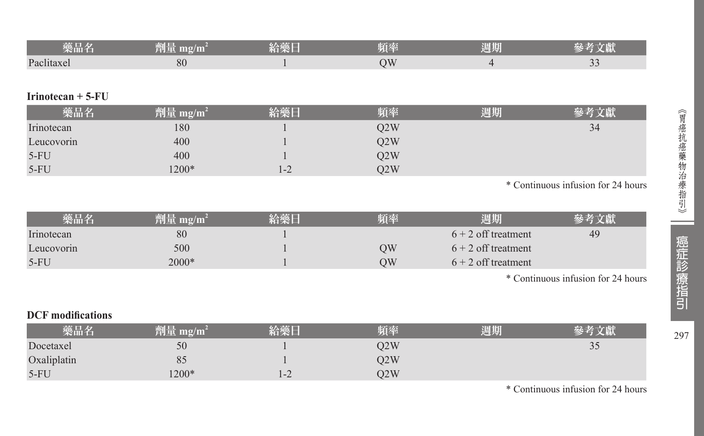| _____<br>榮而名 | mg/m<br>1999 | <b>START IN</b><br>KA XHXI<br>--- | 陌索 | 调期 |            |
|--------------|--------------|-----------------------------------|----|----|------------|
| Paclitaxer   | 80           |                                   |    |    | $\tilde{}$ |

#### **Irinotecan + 5-FU**

| 藥品名        | 劑量 mg/m <sup>2</sup> | 給藥日 | 踊座  | 週期 |    |
|------------|----------------------|-----|-----|----|----|
| Irinotecan | 180                  |     | O2W |    | 34 |
| Leucovorin | 400                  |     | Q2W |    |    |
| $5-FU$     | 400                  |     | Q2W |    |    |
| $5-FU$     | 1200*                | 1-2 | O2W |    |    |

\* Continuous infusion for 24 hours

| 樂品名        | 劑量 mg/m <sup>2</sup> | 給藥日 | 頻率 | 週期                    | 參考文獻 |
|------------|----------------------|-----|----|-----------------------|------|
| Irinotecan | 80                   |     |    | $6 + 2$ off treatment | 49   |
| Leucovorin | 500                  |     | ЭW | $6 + 2$ off treatment |      |
| $5-FU$     | 2000*                |     | ЭW | $6 + 2$ off treatment |      |

\* Continuous infusion for 24 hours

# **DCF modifications**

| 藥品名         | 劑量<br>$m\Omega/m$ | 給藥E   | 賄密  | 周期 | 參考文獻 |
|-------------|-------------------|-------|-----|----|------|
| Docetaxel   | 50                |       | O2W |    | 33   |
| Oxaliplatin | 85                |       | O2W |    |      |
| $5-FU$      | $1200*$           | 1 – 2 | O2W |    |      |

\* Continuous infusion for 24 hours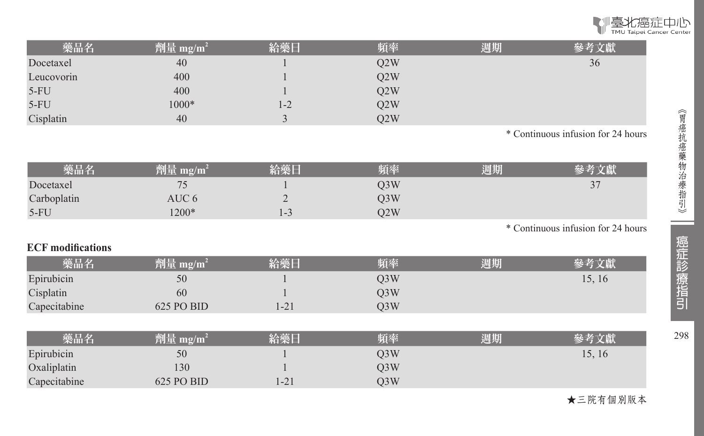

| 藥品名        | 劑量 mg/m <sup>2</sup> | 給藥日     | 頻率  | 週期 | 參考文獻 |
|------------|----------------------|---------|-----|----|------|
| Docetaxel  | 40                   |         | O2W |    | 36   |
| Leucovorin | 400                  |         | Q2W |    |      |
| $5-FU$     | 400                  |         | Q2W |    |      |
| $5-FU$     | 1000*                | $1 - 2$ | O2W |    |      |
| Cisplatin  | 40                   |         | O2W |    |      |

\* Continuous infusion for 24 hours

| 藥品名         | 劑量 mg/m $^{\rm 2}$ | 給藥日 | 頃率  | 週期 | 參考文獻 |
|-------------|--------------------|-----|-----|----|------|
| Docetaxel   |                    |     | O3W |    | 37   |
| Carboplatin | AUC 6              | ∼   | O3W |    |      |
| $5-FU$      | $1200*$            | د-ا | O2W |    |      |

\* Continuous infusion for 24 hours

#### **ECF modifications**

| 藥品名          | 劑量 mg/m <sup>2</sup> | 給藥日   | 頻率  | 週期 | 參考文獻   |
|--------------|----------------------|-------|-----|----|--------|
| Epirubicin   | 50                   |       | O3W |    | 15, 16 |
| Cisplatin    | 60                   |       | O3W |    |        |
| Capecitabine | 625 PO BID           | $-21$ | D3W |    |        |

| 藥品名          | 劑量 mg/m $^{\rm 2}$ | 給藥日                   | 頻率  | 週期 |        |
|--------------|--------------------|-----------------------|-----|----|--------|
| Epirubicin   | 50                 |                       | O3W |    | 15, 16 |
| Oxaliplatin  | .30                |                       | O3W |    |        |
| Capecitabine | $625$ PO BID       | $\bigcap$<br>$1 - 21$ | O3W |    |        |

★三院有個別版本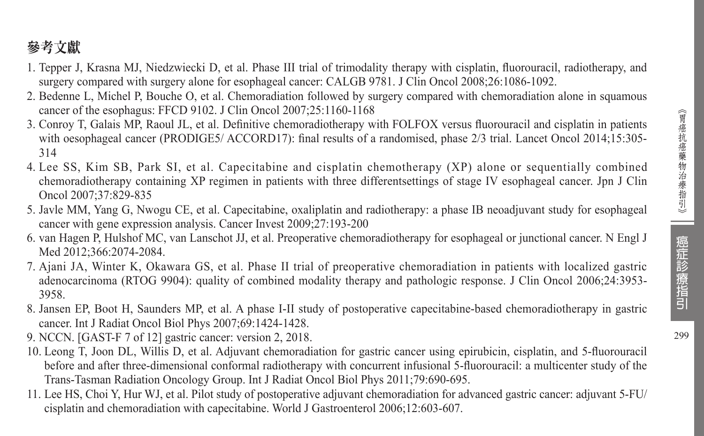# 參考文獻

- 1. Tepper J, Krasna MJ, Niedzwiecki D, et al. Phase III trial of trimodality therapy with cisplatin, fluorouracil, radiotherapy, and surgery compared with surgery alone for esophageal cancer: CALGB 9781. J Clin Oncol 2008;26:1086-1092.
- 2. Bedenne L, Michel P, Bouche O, et al. Chemoradiation followed by surgery compared with chemoradiation alone in squamous cancer of the esophagus: FFCD 9102. J Clin Oncol 2007;25:1160-1168
- 3. Conroy T, Galais MP, Raoul JL, et al. Definitive chemoradiotherapy with FOLFOX versus fluorouracil and cisplatin in patients with oesophageal cancer (PRODIGE5/ ACCORD17): final results of a randomised, phase 2/3 trial. Lancet Oncol 2014;15:305-314
- 4. Lee SS, Kim SB, Park SI, et al. Capecitabine and cisplatin chemotherapy (XP) alone or sequentially combined chemoradiotherapy containing XP regimen in patients with three differentsettings of stage IV esophageal cancer. Jpn J Clin Oncol 2007;37:829-835
- 5. Javle MM, Yang G, Nwogu CE, et al. Capecitabine, oxaliplatin and radiotherapy: a phase IB neoadjuvant study for esophageal cancer with gene expression analysis. Cancer Invest 2009;27:193-200
- 6. van Hagen P, Hulshof MC, van Lanschot JJ, et al. Preoperative chemoradiotherapy for esophageal or junctional cancer. N Engl J Med 2012;366:2074-2084.
- 7. Ajani JA, Winter K, Okawara GS, et al. Phase II trial of preoperative chemoradiation in patients with localized gastric adenocarcinoma (RTOG 9904): quality of combined modality therapy and pathologic response. J Clin Oncol 2006;24:3953- 3958.
- 8. Jansen EP, Boot H, Saunders MP, et al. A phase I-II study of postoperative capecitabine-based chemoradiotherapy in gastric cancer. Int J Radiat Oncol Biol Phys 2007;69:1424-1428.
- 9. NCCN. [GAST-F 7 of 12] gastric cancer: version 2, 2018.
- 10. Leong T, Joon DL, Willis D, et al. Adjuvant chemoradiation for gastric cancer using epirubicin, cisplatin, and 5-fluorouracil before and after three-dimensional conformal radiotherapy with concurrent infusional 5-fluorouracil: a multicenter study of the Trans-Tasman Radiation Oncology Group. Int J Radiat Oncol Biol Phys 2011;79:690-695.
- 11. Lee HS, Choi Y, Hur WJ, et al. Pilot study of postoperative adjuvant chemoradiation for advanced gastric cancer: adjuvant 5-FU/ cisplatin and chemoradiation with capecitabine. World J Gastroenterol 2006;12:603-607.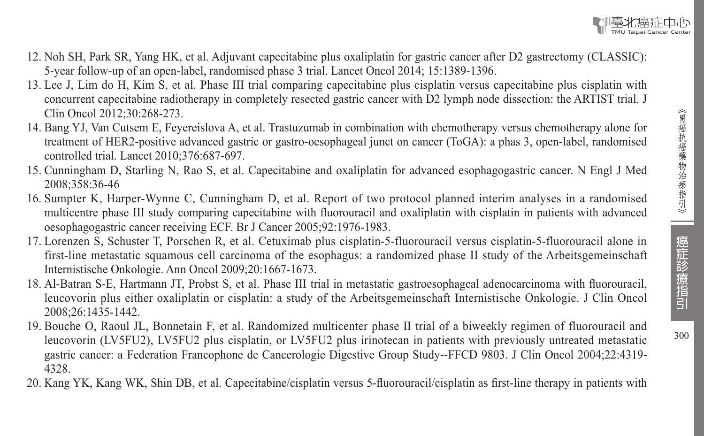- 12. Noh SH, Park SR, Yang HK, et al. Adjuvant capecitabine plus oxaliplatin for gastric cancer after D2 gastrectomy (CLASSIC): 5-year follow-up of an open-label, randomised phase 3 trial. Lancet Oncol 2014; 15:1389-1396.
- 13. Lee J, Lim do H, Kim S, et al. Phase III trial comparing capecitabine plus cisplatin versus capecitabine plus cisplatin with concurrent capecitabine radiotherapy in completely resected gastric cancer with D2 lymph node dissection: the ARTIST trial. J Clin Oncol 2012;30:268-273.
- 14. Bang YJ, Van Cutsem E, Feyereislova A, et al. Trastuzumab in combination with chemotherapy versus chemotherapy alone for treatment of HER2-positive advanced gastric or gastro-oesophageal junct on cancer (ToGA): a phas 3, open-label, randomised controlled trial. Lancet 2010;376:687-697.
- 15. Cunningham D, Starling N, Rao S, et al. Capecitabine and oxaliplatin for advanced esophagogastric cancer. N Engl J Med 2008;358:36-46
- 16. Sumpter K, Harper-Wynne C, Cunningham D, et al. Report of two protocol planned interim analyses in a randomised multicentre phase III study comparing capecitabine with fluorouracil and oxaliplatin with cisplatin in patients with advanced oesophagogastric cancer receiving ECF. Br J Cancer 2005;92:1976-1983.
- 17. Lorenzen S, Schuster T, Porschen R, et al. Cetuximab plus cisplatin-5-fluorouracil versus cisplatin-5-fluorouracil alone in first-line metastatic squamous cell carcinoma of the esophagus: a randomized phase II study of the Arbeitsgemeinschaft Internistische Onkologie. Ann Oncol 2009;20:1667-1673.
- 18. Al-Batran S-E, Hartmann JT, Probst S, et al. Phase III trial in metastatic gastroesophageal adenocarcinoma with fluorouracil, leucovorin plus either oxaliplatin or cisplatin: a study of the Arbeitsgemeinschaft Internistische Onkologie. J Clin Oncol 2008;26:1435-1442.
- 19. Bouche O, Raoul JL, Bonnetain F, et al. Randomized multicenter phase II trial of a biweekly regimen of fluorouracil and leucovorin (LV5FU2), LV5FU2 plus cisplatin, or LV5FU2 plus irinotecan in patients with previously untreated metastatic gastric cancer: a Federation Francophone de Cancerologie Digestive Group Study--FFCD 9803. J Clin Oncol 2004;22:4319- 4328.
- 20. Kang YK, Kang WK, Shin DB, et al. Capecitabine/cisplatin versus 5-fluorouracil/cisplatin as first-line therapy in patients with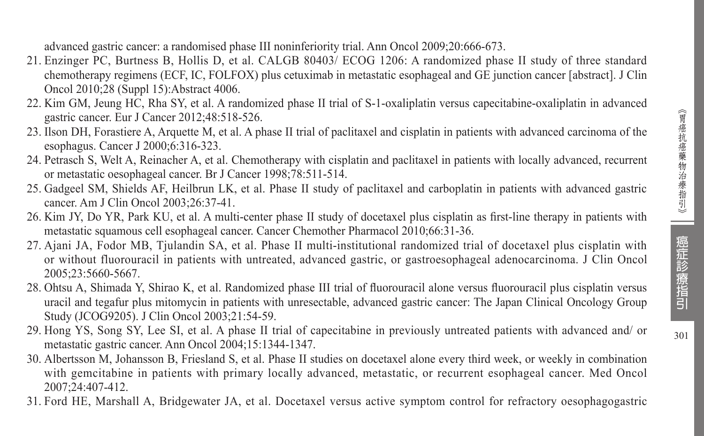$301$ 

advanced gastric cancer: a randomised phase III noninferiority trial. Ann Oncol 2009;20:666-673.

- 21. Enzinger PC, Burtness B, Hollis D, et al. CALGB 80403/ ECOG 1206: A randomized phase II study of three standard chemotherapy regimens (ECF, IC, FOLFOX) plus cetuximab in metastatic esophageal and GE junction cancer [abstract]. J Clin Oncol 2010;28 (Suppl 15):Abstract 4006.
- 22. Kim GM, Jeung HC, Rha SY, et al. A randomized phase II trial of S-1-oxaliplatin versus capecitabine-oxaliplatin in advanced gastric cancer. Eur J Cancer 2012;48:518-526.
- 23. Ilson DH, Forastiere A, Arquette M, et al. A phase II trial of paclitaxel and cisplatin in patients with advanced carcinoma of the esophagus. Cancer J 2000;6:316-323.
- 24. Petrasch S, Welt A, Reinacher A, et al. Chemotherapy with cisplatin and paclitaxel in patients with locally advanced, recurrent or metastatic oesophageal cancer. Br J Cancer 1998;78:511-514.
- 25. Gadgeel SM, Shields AF, Heilbrun LK, et al. Phase II study of paclitaxel and carboplatin in patients with advanced gastric cancer. Am J Clin Oncol 2003;26:37-41.
- 26. Kim JY, Do YR, Park KU, et al. A multi-center phase II study of docetaxel plus cisplatin as first-line therapy in patients with metastatic squamous cell esophageal cancer. Cancer Chemother Pharmacol 2010;66:31-36.
- 27. Ajani JA, Fodor MB, Tjulandin SA, et al. Phase II multi-institutional randomized trial of docetaxel plus cisplatin with or without fluorouracil in patients with untreated, advanced gastric, or gastroesophageal adenocarcinoma. J Clin Oncol 2005;23:5660-5667.
- 28. Ohtsu A, Shimada Y, Shirao K, et al. Randomized phase III trial of fluorouracil alone versus fluorouracil plus cisplatin versus uracil and tegafur plus mitomycin in patients with unresectable, advanced gastric cancer: The Japan Clinical Oncology Group Study (JCOG9205). J Clin Oncol 2003;21:54-59.
- 29. Hong YS, Song SY, Lee SI, et al. A phase II trial of capecitabine in previously untreated patients with advanced and/ or metastatic gastric cancer. Ann Oncol 2004;15:1344-1347.
- 30. Albertsson M, Johansson B, Friesland S, et al. Phase II studies on docetaxel alone every third week, or weekly in combination with gemcitabine in patients with primary locally advanced, metastatic, or recurrent esophageal cancer. Med Oncol 2007;24:407-412.
- 31. Ford HE, Marshall A, Bridgewater JA, et al. Docetaxel versus active symptom control for refractory oesophagogastric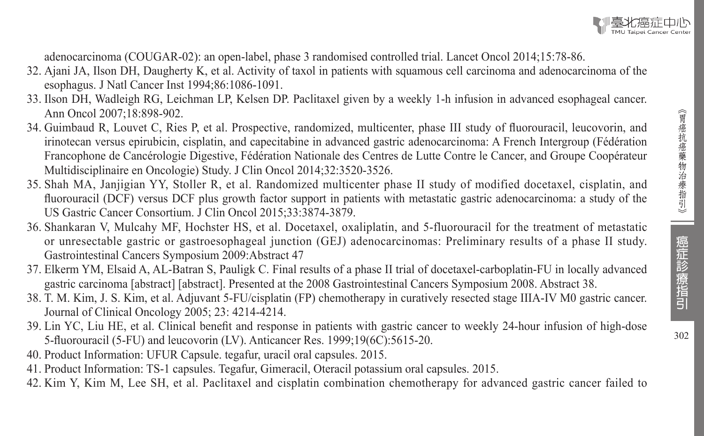

adenocarcinoma (COUGAR-02): an open-label, phase 3 randomised controlled trial. Lancet Oncol 2014;15:78-86.

- 32. Ajani JA, Ilson DH, Daugherty K, et al. Activity of taxol in patients with squamous cell carcinoma and adenocarcinoma of the esophagus. J Natl Cancer Inst 1994;86:1086-1091.
- 33. Ilson DH, Wadleigh RG, Leichman LP, Kelsen DP. Paclitaxel given by a weekly 1-h infusion in advanced esophageal cancer. Ann Oncol 2007;18:898-902.
- 34. Guimbaud R, Louvet C, Ries P, et al. Prospective, randomized, multicenter, phase III study of fluorouracil, leucovorin, and irinotecan versus epirubicin, cisplatin, and capecitabine in advanced gastric adenocarcinoma: A French Intergroup (Fédération Francophone de Cancérologie Digestive, Fédération Nationale des Centres de Lutte Contre le Cancer, and Groupe Coopérateur Multidisciplinaire en Oncologie) Study. J Clin Oncol 2014;32:3520-3526.
- 35. Shah MA, Janjigian YY, Stoller R, et al. Randomized multicenter phase II study of modified docetaxel, cisplatin, and fluorouracil (DCF) versus DCF plus growth factor support in patients with metastatic gastric adenocarcinoma: a study of the US Gastric Cancer Consortium. J Clin Oncol 2015;33:3874-3879.
- 36. Shankaran V, Mulcahy MF, Hochster HS, et al. Docetaxel, oxaliplatin, and 5-fluorouracil for the treatment of metastatic or unresectable gastric or gastroesophageal junction (GEJ) adenocarcinomas: Preliminary results of a phase II study. Gastrointestinal Cancers Symposium 2009:Abstract 47
- 37. Elkerm YM, Elsaid A, AL-Batran S, Pauligk C. Final results of a phase II trial of docetaxel-carboplatin-FU in locally advanced gastric carcinoma [abstract] [abstract]. Presented at the 2008 Gastrointestinal Cancers Symposium 2008. Abstract 38.
- 38. T. M. Kim, J. S. Kim, et al. Adjuvant 5-FU/cisplatin (FP) chemotherapy in curatively resected stage IIIA-IV M0 gastric cancer. Journal of Clinical Oncology 2005; 23: 4214-4214.
- 39. Lin YC, Liu HE, et al. Clinical benefit and response in patients with gastric cancer to weekly 24-hour infusion of high-dose 5-fluorouracil (5-FU) and leucovorin (LV). Anticancer Res. 1999;19(6C):5615-20.
- 40. Product Information: UFUR Capsule. tegafur, uracil oral capsules. 2015.
- 41. Product Information: TS-1 capsules. Tegafur, Gimeracil, Oteracil potassium oral capsules. 2015.
- 42. Kim Y, Kim M, Lee SH, et al. Paclitaxel and cisplatin combination chemotherapy for advanced gastric cancer failed to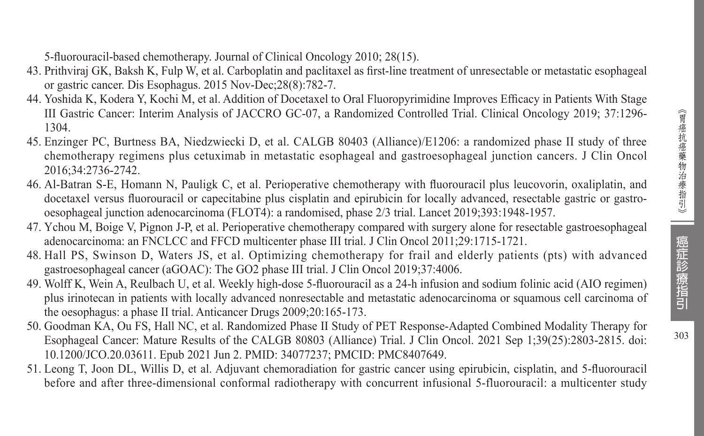5-fluorouracil-based chemotherapy. Journal of Clinical Oncology 2010; 28(15).

- 43. Prithviraj GK, Baksh K, Fulp W, et al. Carboplatin and paclitaxel as first-line treatment of unresectable or metastatic esophageal or gastric cancer. Dis Esophagus. 2015 Nov-Dec;28(8):782-7.
- 44. Yoshida K, Kodera Y, Kochi M, et al. Addition of Docetaxel to Oral Fluoropyrimidine Improves Efficacy in Patients With Stage III Gastric Cancer: Interim Analysis of JACCRO GC-07, a Randomized Controlled Trial. Clinical Oncology 2019; 37:1296- 1304.
- 45. Enzinger PC, Burtness BA, Niedzwiecki D, et al. CALGB 80403 (Alliance)/E1206: a randomized phase II study of three chemotherapy regimens plus cetuximab in metastatic esophageal and gastroesophageal junction cancers. J Clin Oncol 2016;34:2736-2742.
- 46. Al-Batran S-E, Homann N, Pauligk C, et al. Perioperative chemotherapy with fluorouracil plus leucovorin, oxaliplatin, and docetaxel versus fluorouracil or capecitabine plus cisplatin and epirubicin for locally advanced, resectable gastric or gastrooesophageal junction adenocarcinoma (FLOT4): a randomised, phase 2/3 trial. Lancet 2019;393:1948-1957.
- 47. Ychou M, Boige V, Pignon J-P, et al. Perioperative chemotherapy compared with surgery alone for resectable gastroesophageal adenocarcinoma: an FNCLCC and FFCD multicenter phase III trial. J Clin Oncol 2011;29:1715-1721.
- 48. Hall PS, Swinson D, Waters JS, et al. Optimizing chemotherapy for frail and elderly patients (pts) with advanced gastroesophageal cancer (aGOAC): The GO2 phase III trial. J Clin Oncol 2019;37:4006.
- 49. Wolff K, Wein A, Reulbach U, et al. Weekly high-dose 5-fluorouracil as a 24-h infusion and sodium folinic acid (AIO regimen) plus irinotecan in patients with locally advanced nonresectable and metastatic adenocarcinoma or squamous cell carcinoma of the oesophagus: a phase II trial. Anticancer Drugs 2009;20:165-173.
- 50. Goodman KA, Ou FS, Hall NC, et al. Randomized Phase II Study of PET Response-Adapted Combined Modality Therapy for Esophageal Cancer: Mature Results of the CALGB 80803 (Alliance) Trial. J Clin Oncol. 2021 Sep 1;39(25):2803-2815. doi: 10.1200/JCO.20.03611. Epub 2021 Jun 2. PMID: 34077237; PMCID: PMC8407649.
- 51. Leong T, Joon DL, Willis D, et al. Adjuvant chemoradiation for gastric cancer using epirubicin, cisplatin, and 5-fluorouracil before and after three-dimensional conformal radiotherapy with concurrent infusional 5-fluorouracil: a multicenter study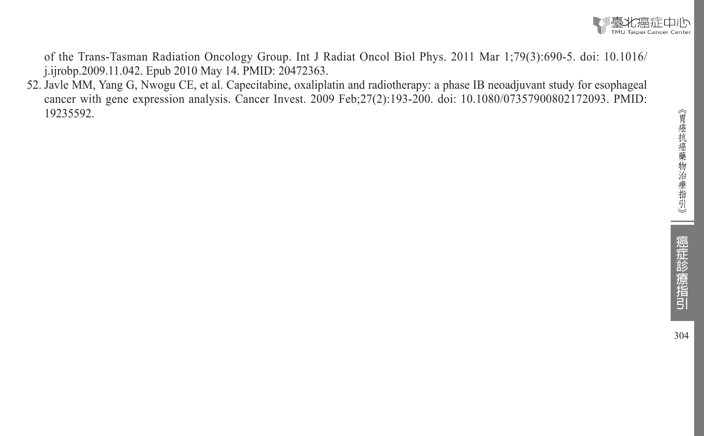

of the Trans-Tasman Radiation Oncology Group. Int J Radiat Oncol Biol Phys. 2011 Mar 1;79(3):690-5. doi: 10.1016/ j.ijrobp.2009.11.042. Epub 2010 May 14. PMID: 20472363.

52. Javle MM, Yang G, Nwogu CE, et al. Capecitabine, oxaliplatin and radiotherapy: a phase IB neoadjuvant study for esophageal cancer with gene expression analysis. Cancer Invest. 2009 Feb;27(2):193-200. doi: 10.1080/07357900802172093. PMID: 19235592.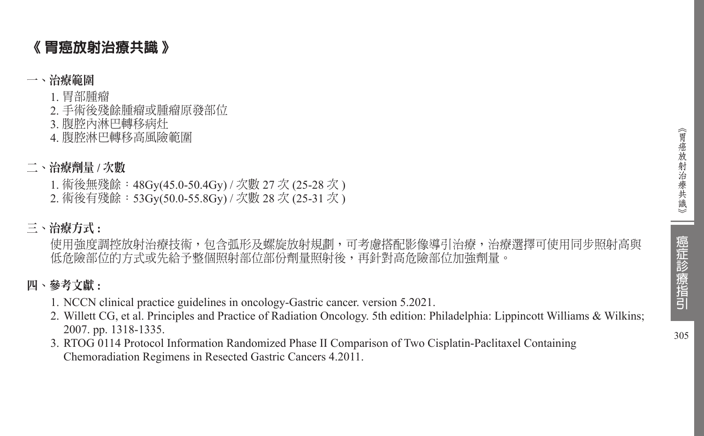# 《 胃癌放射治療共識 》

# 一、治療範圍

1. 胃部腫瘤

- 2. 手術後殘餘腫瘤或腫瘤原發部位
- 3. 腹腔內淋巴轉移病灶

4. 腹腔淋巴轉移高風險範圍

# 二、治療劑量 **/** 次數

1. 術後無殘餘:48Gy(45.0-50.4Gy) / 次數 27 次 (25-28 次 )

2. 術後有殘餘: 53Gy(50.0-55.8Gy) / 次數 28 次 (25-31 次)

# 三、治療方式 **:**

使用強度調控放射治療技術,包含弧形及螺旋放射規劃,可考慮搭配影像導引治療,治療選擇可使用同步照射高與 低危險部位的方式或先給予整個照射部位部份劑量照射後,再針對高危險部位加強劑量。

# 四、參考文獻 **:**

- 1. NCCN clinical practice guidelines in oncology-Gastric cancer. version 5.2021.
- 2. Willett CG, et al. Principles and Practice of Radiation Oncology. 5th edition: Philadelphia: Lippincott Williams & Wilkins; 2007. pp. 1318-1335.
- 3. RTOG 0114 Protocol Information Randomized Phase II Comparison of Two Cisplatin-Paclitaxel Containing Chemoradiation Regimens in Resected Gastric Cancers 4.2011.